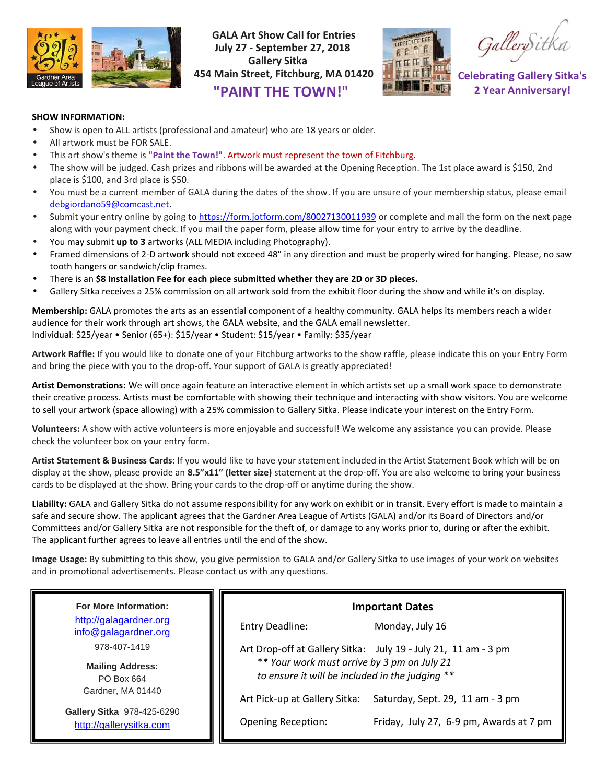

**GALA Art Show Call for Entries July 27 - September 27, 2018 Gallery Sitka 454 Main Street, Fitchburg, MA 01420 "PAINT THE TOWN!"**



GallerySitka

**Celebrating Gallery Sitka's 2 Year Anniversary!**

## **SHOW INFORMATION:**

- Show is open to ALL artists (professional and amateur) who are 18 years or older.
- All artwork must be FOR SALE.
- This art show's theme is **"Paint the Town!"**. Artwork must represent the town of Fitchburg.
- The show will be judged. Cash prizes and ribbons will be awarded at the Opening Reception. The 1st place award is \$150, 2nd place is \$100, and 3rd place is \$50.
- You must be a current member of GALA during the dates of the show. If you are unsure of your membership status, please email debgiordano59@comcast.net**.**
- Submit your entry online by going to https://form.jotform.com/80027130011939 or complete and mail the form on the next page along with your payment check. If you mail the paper form, please allow time for your entry to arrive by the deadline.
- You may submit **up to 3** artworks (ALL MEDIA including Photography).
- Framed dimensions of 2-D artwork should not exceed 48" in any direction and must be properly wired for hanging. Please, no saw tooth hangers or sandwich/clip frames.
- There is an **\$8 Installation Fee for each piece submitted whether they are 2D or 3D pieces.**
- Gallery Sitka receives a 25% commission on all artwork sold from the exhibit floor during the show and while it's on display.

**Membership:** GALA promotes the arts as an essential component of a healthy community. GALA helps its members reach a wider audience for their work through art shows, the GALA website, and the GALA email newsletter. Individual: \$25/year • Senior (65+): \$15/year • Student: \$15/year • Family: \$35/year

**Artwork Raffle:** If you would like to donate one of your Fitchburg artworks to the show raffle, please indicate this on your Entry Form and bring the piece with you to the drop-off. Your support of GALA is greatly appreciated!

**Artist Demonstrations:** We will once again feature an interactive element in which artists set up a small work space to demonstrate their creative process. Artists must be comfortable with showing their technique and interacting with show visitors. You are welcome to sell your artwork (space allowing) with a 25% commission to Gallery Sitka. Please indicate your interest on the Entry Form.

**Volunteers:** A show with active volunteers is more enjoyable and successful! We welcome any assistance you can provide. Please check the volunteer box on your entry form.

**Artist Statement & Business Cards:** If you would like to have your statement included in the Artist Statement Book which will be on display at the show, please provide an **8.5"x11" (letter size)** statement at the drop-off. You are also welcome to bring your business cards to be displayed at the show. Bring your cards to the drop-off or anytime during the show.

**Liability:** GALA and Gallery Sitka do not assume responsibility for any work on exhibit or in transit. Every effort is made to maintain a safe and secure show. The applicant agrees that the Gardner Area League of Artists (GALA) and/or its Board of Directors and/or Committees and/or Gallery Sitka are not responsible for the theft of, or damage to any works prior to, during or after the exhibit. The applicant further agrees to leave all entries until the end of the show.

**Image Usage:** By submitting to this show, you give permission to GALA and/or Gallery Sitka to use images of your work on websites and in promotional advertisements. Please contact us with any questions.

| <b>For More Information:</b> | <b>Important Dates</b>                                            |  |
|------------------------------|-------------------------------------------------------------------|--|
| http://galagardner.org       | Entry Deadline:                                                   |  |
| info@galagardner.org         | Monday, July 16                                                   |  |
| 978-407-1419                 | Art Drop-off at Gallery Sitka: July 19 - July 21, 11 am - 3 pm    |  |
| <b>Mailing Address:</b>      | ** Your work must arrive by 3 pm on July 21                       |  |
| PO Box 664                   | to ensure it will be included in the judging **                   |  |
| Gardner, MA 01440            | Saturday, Sept. 29, 11 am - 3 pm<br>Art Pick-up at Gallery Sitka: |  |
| Gallery Sitka 978-425-6290   | Friday, July 27, 6-9 pm, Awards at 7 pm                           |  |
| http://gallerysitka.com      | <b>Opening Reception:</b>                                         |  |